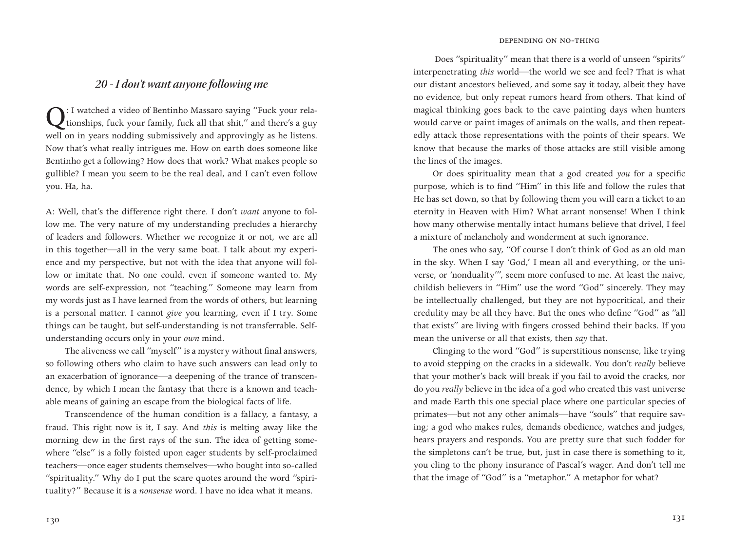# depending on no-thing

# *20 - I don't want anyone following me*

Q: I watched a video of Bentinho Massaro saying "Fuck your rela-tionships, fuck your family, fuck all that shit," and there's a guy well on in years nodding submissively and approvingly as he listens. Now that's what really intrigues me. How on earth does someone like Bentinho get a following? How does that work? What makes people so gullible? I mean you seem to be the real deal, and I can't even follow you. Ha, ha.

A: Well, that's the difference right there. I don't *want* anyone to follow me. The very nature of my understanding precludes a hierarchy of leaders and followers. Whether we recognize it or not, we are all in this together—all in the very same boat. I talk about my experience and my perspective, but not with the idea that anyone will follow or imitate that. No one could, even if someone wanted to. My words are self-expression, not "teaching." Someone may learn from my words just as I have learned from the words of others, but learning is a personal matter. I cannot *give* you learning, even if I try. Some things can be taught, but self-understanding is not transferrable. Selfunderstanding occurs only in your *own* mind.

The aliveness we call "myself" is a mystery without final answers, so following others who claim to have such answers can lead only to an exacerbation of ignorance—a deepening of the trance of transcendence, by which I mean the fantasy that there is a known and teachable means of gaining an escape from the biological facts of life.

Transcendence of the human condition is a fallacy, a fantasy, a fraud. This right now is it, I say. And *this* is melting away like the morning dew in the first rays of the sun. The idea of getting somewhere "else" is a folly foisted upon eager students by self-proclaimed teachers—once eager students themselves—who bought into so-called "spirituality." Why do I put the scare quotes around the word "spirituality?" Because it is a *nonsense* word. I have no idea what it means.

 Does "spirituality" mean that there is a world of unseen "spirits" interpenetrating *this* world—the world we see and feel? That is what our distant ancestors believed, and some say it today, albeit they have no evidence, but only repeat rumors heard from others. That kind of magical thinking goes back to the cave painting days when hunters would carve or paint images of animals on the walls, and then repeatedly attack those representations with the points of their spears. We know that because the marks of those attacks are still visible among the lines of the images.

Or does spirituality mean that a god created *you* for a specific purpose, which is to find "Him" in this life and follow the rules that He has set down, so that by following them you will earn a ticket to an eternity in Heaven with Him? What arrant nonsense! When I think how many otherwise mentally intact humans believe that drivel, I feel a mixture of melancholy and wonderment at such ignorance.

The ones who say, "Of course I don't think of God as an old man in the sky. When I say 'God,' I mean all and everything, or the universe, or 'nonduality'", seem more confused to me. At least the naive, childish believers in "Him" use the word "God" sincerely. They may be intellectually challenged, but they are not hypocritical, and their credulity may be all they have. But the ones who define "God" as "all that exists" are living with fingers crossed behind their backs. If you mean the universe or all that exists, then *say* that.

Clinging to the word "God" is superstitious nonsense, like trying to avoid stepping on the cracks in a sidewalk. You don't *really* believe that your mother's back will break if you fail to avoid the cracks, nor do you *really* believe in the idea of a god who created this vast universe and made Earth this one special place where one particular species of primates—but not any other animals—have "souls" that require saving; a god who makes rules, demands obedience, watches and judges, hears prayers and responds. You are pretty sure that such fodder for the simpletons can't be true, but, just in case there is something to it, you cling to the phony insurance of Pascal's wager. And don't tell me that the image of "God" is a "metaphor." A metaphor for what?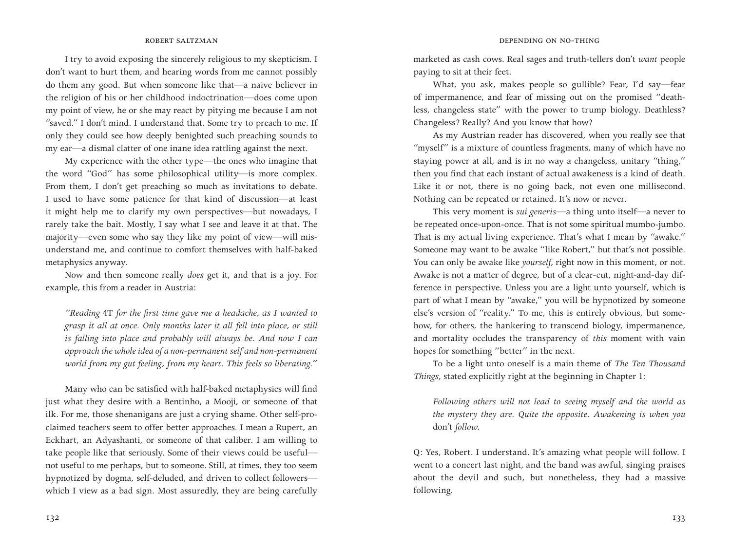I try to avoid exposing the sincerely religious to my skepticism. I don't want to hurt them, and hearing words from me cannot possibly do them any good. But when someone like that—a naive believer in the religion of his or her childhood indoctrination—does come upon my point of view, he or she may react by pitying me because I am not "saved." I don't mind. I understand that. Some try to preach to me. If only they could see how deeply benighted such preaching sounds to my ear—a dismal clatter of one inane idea rattling against the next.

My experience with the other type—the ones who imagine that the word "God" has some philosophical utility—is more complex. From them, I don't get preaching so much as invitations to debate. I used to have some patience for that kind of discussion—at least it might help me to clarify my own perspectives—but nowadays, I rarely take the bait. Mostly, I say what I see and leave it at that. The majority—even some who say they like my point of view—will misunderstand me, and continue to comfort themselves with half-baked metaphysics anyway.

Now and then someone really *does* get it, and that is a joy. For example, this from a reader in Austria:

*"Reading* 4T *for the first time gave me a headache, as I wanted to grasp it all at once. Only months later it all fell into place, or still is falling into place and probably will always be. And now I can approach the whole idea of a non-permanent self and non-permanent world from my gut feeling, from my heart. This feels so liberating."*

Many who can be satisfied with half-baked metaphysics will find just what they desire with a Bentinho, a Mooji, or someone of that ilk. For me, those shenanigans are just a crying shame. Other self-proclaimed teachers seem to offer better approaches. I mean a Rupert, an Eckhart, an Adyashanti, or someone of that caliber. I am willing to take people like that seriously. Some of their views could be useful not useful to me perhaps, but to someone. Still, at times, they too seem hypnotized by dogma, self-deluded, and driven to collect followers which I view as a bad sign. Most assuredly, they are being carefully marketed as cash cows. Real sages and truth-tellers don't *want* people paying to sit at their feet.

What, you ask, makes people so gullible? Fear, I'd say—fear of impermanence, and fear of missing out on the promised "deathless, changeless state" with the power to trump biology. Deathless? Changeless? Really? And you know that how?

As my Austrian reader has discovered, when you really see that "myself" is a mixture of countless fragments, many of which have no staying power at all, and is in no way a changeless, unitary "thing," then you find that each instant of actual awakeness is a kind of death. Like it or not, there is no going back, not even one millisecond. Nothing can be repeated or retained. It's now or never.

This very moment is *sui generis*—a thing unto itself—a never to be repeated once-upon-once. That is not some spiritual mumbo-jumbo. That is my actual living experience. That's what I mean by "awake." Someone may want to be awake "like Robert," but that's not possible. You can only be awake like *yourself*, right now in this moment, or not. Awake is not a matter of degree, but of a clear-cut, night-and-day difference in perspective. Unless you are a light unto yourself, which is part of what I mean by "awake," you will be hypnotized by someone else's version of "reality." To me, this is entirely obvious, but somehow, for others, the hankering to transcend biology, impermanence, and mortality occludes the transparency of *this* moment with vain hopes for something "better" in the next.

To be a light unto oneself is a main theme of *The Ten Thousand Things*, stated explicitly right at the beginning in Chapter 1:

*Following others will not lead to seeing myself and the world as the mystery they are. Quite the opposite. Awakening is when you*  don't *follow.*

Q: Yes, Robert. I understand. It's amazing what people will follow. I went to a concert last night, and the band was awful, singing praises about the devil and such, but nonetheless, they had a massive following.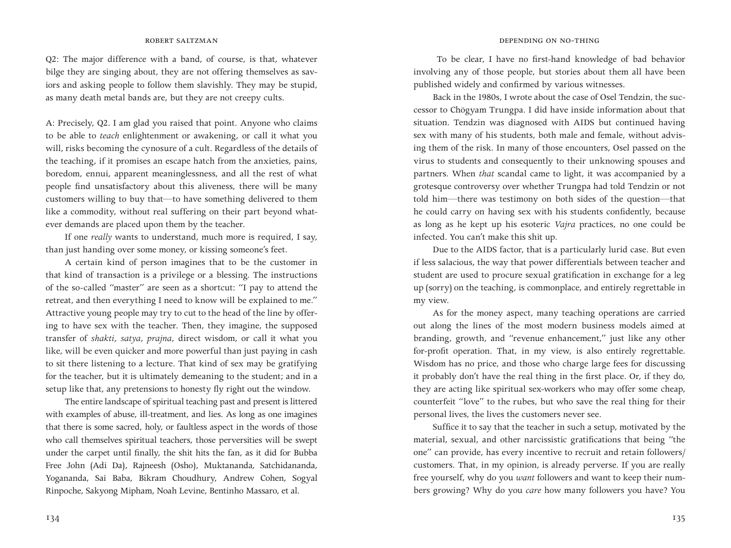Q2: The major difference with a band, of course, is that, whatever bilge they are singing about, they are not offering themselves as saviors and asking people to follow them slavishly. They may be stupid, as many death metal bands are, but they are not creepy cults.

A: Precisely, Q2. I am glad you raised that point. Anyone who claims to be able to *teach* enlightenment or awakening, or call it what you will, risks becoming the cynosure of a cult. Regardless of the details of the teaching, if it promises an escape hatch from the anxieties, pains, boredom, ennui, apparent meaninglessness, and all the rest of what people find unsatisfactory about this aliveness, there will be many customers willing to buy that—to have something delivered to them like a commodity, without real suffering on their part beyond whatever demands are placed upon them by the teacher.

If one *really* wants to understand, much more is required, I say, than just handing over some money, or kissing someone's feet.

A certain kind of person imagines that to be the customer in that kind of transaction is a privilege or a blessing. The instructions of the so-called "master" are seen as a shortcut: "I pay to attend the retreat, and then everything I need to know will be explained to me." Attractive young people may try to cut to the head of the line by offering to have sex with the teacher. Then, they imagine, the supposed transfer of *shakti, satya, prajna*, direct wisdom, or call it what you like, will be even quicker and more powerful than just paying in cash to sit there listening to a lecture. That kind of sex may be gratifying for the teacher, but it is ultimately demeaning to the student; and in a setup like that, any pretensions to honesty fly right out the window.

The entire landscape of spiritual teaching past and present is littered with examples of abuse, ill-treatment, and lies. As long as one imagines that there is some sacred, holy, or faultless aspect in the words of those who call themselves spiritual teachers, those perversities will be swept under the carpet until finally, the shit hits the fan, as it did for Bubba Free John (Adi Da), Rajneesh (Osho), Muktananda, Satchidananda, Yogananda, Sai Baba, Bikram Choudhury, Andrew Cohen, Sogyal Rinpoche, Sakyong Mipham, Noah Levine, Bentinho Massaro, et al.

 To be clear, I have no first-hand knowledge of bad behavior involving any of those people, but stories about them all have been published widely and confirmed by various witnesses.

Back in the 1980s, I wrote about the case of Osel Tendzin, the successor to Chögyam Trungpa. I did have inside information about that situation. Tendzin was diagnosed with AIDS but continued having sex with many of his students, both male and female, without advising them of the risk. In many of those encounters, Osel passed on the virus to students and consequently to their unknowing spouses and partners. When *that* scandal came to light, it was accompanied by a grotesque controversy over whether Trungpa had told Tendzin or not told him—there was testimony on both sides of the question—that he could carry on having sex with his students confidently, because as long as he kept up his esoteric *Vajra* practices, no one could be infected. You can't make this shit up.

Due to the AIDS factor, that is a particularly lurid case. But even if less salacious, the way that power differentials between teacher and student are used to procure sexual gratification in exchange for a leg up (sorry) on the teaching, is commonplace, and entirely regrettable in my view.

As for the money aspect, many teaching operations are carried out along the lines of the most modern business models aimed at branding, growth, and "revenue enhancement," just like any other for-profit operation. That, in my view, is also entirely regrettable. Wisdom has no price, and those who charge large fees for discussing it probably don't have the real thing in the first place. Or, if they do, they are acting like spiritual sex-workers who may offer some cheap, counterfeit "love" to the rubes, but who save the real thing for their personal lives, the lives the customers never see.

Suffice it to say that the teacher in such a setup, motivated by the material, sexual, and other narcissistic gratifications that being "the one" can provide, has every incentive to recruit and retain followers/ customers. That, in my opinion, is already perverse. If you are really free yourself, why do you *want* followers and want to keep their numbers growing? Why do you *care* how many followers you have? You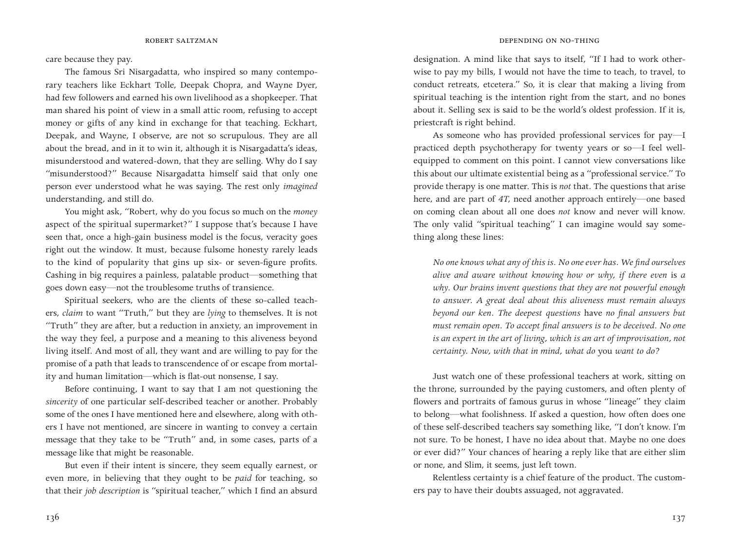care because they pay.

The famous Sri Nisargadatta, who inspired so many contemporary teachers like Eckhart Tolle, Deepak Chopra, and Wayne Dyer, had few followers and earned his own livelihood as a shopkeeper. That man shared his point of view in a small attic room, refusing to accept money or gifts of any kind in exchange for that teaching. Eckhart, Deepak, and Wayne, I observe, are not so scrupulous. They are all about the bread, and in it to win it, although it is Nisargadatta's ideas, misunderstood and watered-down, that they are selling. Why do I say "misunderstood?" Because Nisargadatta himself said that only one person ever understood what he was saying. The rest only *imagined*  understanding, and still do.

You might ask, "Robert, why do you focus so much on the *money*  aspect of the spiritual supermarket?" I suppose that's because I have seen that, once a high-gain business model is the focus, veracity goes right out the window. It must, because fulsome honesty rarely leads to the kind of popularity that gins up six- or seven-figure profits. Cashing in big requires a painless, palatable product—something that goes down easy—not the troublesome truths of transience.

Spiritual seekers, who are the clients of these so-called teachers, *claim* to want "Truth," but they are *lying* to themselves. It is not "Truth" they are after, but a reduction in anxiety, an improvement in the way they feel, a purpose and a meaning to this aliveness beyond living itself. And most of all, they want and are willing to pay for the promise of a path that leads to transcendence of or escape from mortality and human limitation—which is flat-out nonsense, I say.

Before continuing, I want to say that I am not questioning the *sincerity* of one particular self-described teacher or another. Probably some of the ones I have mentioned here and elsewhere, along with others I have not mentioned, are sincere in wanting to convey a certain message that they take to be "Truth" and, in some cases, parts of a message like that might be reasonable.

But even if their intent is sincere, they seem equally earnest, or even more, in believing that they ought to be *paid* for teaching, so that their *job description* is "spiritual teacher," which I find an absurd

designation. A mind like that says to itself, "If I had to work otherwise to pay my bills, I would not have the time to teach, to travel, to conduct retreats, etcetera." So, it is clear that making a living from spiritual teaching is the intention right from the start, and no bones about it. Selling sex is said to be the world's oldest profession. If it is, priestcraft is right behind.

As someone who has provided professional services for pay—I practiced depth psychotherapy for twenty years or so—I feel wellequipped to comment on this point. I cannot view conversations like this about our ultimate existential being as a "professional service." To provide therapy is one matter. This is *not* that. The questions that arise here, and are part of *4T*, need another approach entirely—one based on coming clean about all one does *not* know and never will know. The only valid "spiritual teaching" I can imagine would say something along these lines:

*No one knows what any of this is. No one ever has. We find ourselves alive and aware without knowing how or why, if there even* is *a why. Our brains invent questions that they are not powerful enough to answer. A great deal about this aliveness must remain always beyond our ken. The deepest questions* have *no final answers but must remain open. To accept final answers is to be deceived. No one is an expert in the art of living, which is an art of improvisation, not certainty. Now, with that in mind, what do* you *want to do?*

Just watch one of these professional teachers at work, sitting on the throne, surrounded by the paying customers, and often plenty of flowers and portraits of famous gurus in whose "lineage" they claim to belong—what foolishness. If asked a question, how often does one of these self-described teachers say something like, "I don't know. I'm not sure. To be honest, I have no idea about that. Maybe no one does or ever did?" Your chances of hearing a reply like that are either slim or none, and Slim, it seems, just left town.

Relentless certainty is a chief feature of the product. The customers pay to have their doubts assuaged, not aggravated.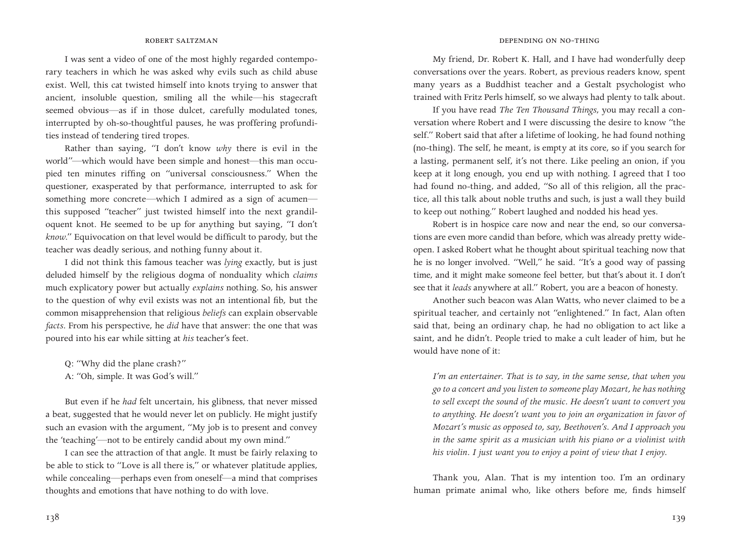I was sent a video of one of the most highly regarded contemporary teachers in which he was asked why evils such as child abuse exist. Well, this cat twisted himself into knots trying to answer that ancient, insoluble question, smiling all the while—his stagecraft seemed obvious—as if in those dulcet, carefully modulated tones, interrupted by oh-so-thoughtful pauses, he was proffering profundities instead of tendering tired tropes.

Rather than saying, "I don't know *why* there is evil in the world"—which would have been simple and honest—this man occupied ten minutes riffing on "universal consciousness." When the questioner, exasperated by that performance, interrupted to ask for something more concrete—which I admired as a sign of acumen this supposed "teacher" just twisted himself into the next grandiloquent knot. He seemed to be up for anything but saying, "I don't *know*." Equivocation on that level would be difficult to parody, but the teacher was deadly serious, and nothing funny about it.

I did not think this famous teacher was *lying* exactly, but is just deluded himself by the religious dogma of nonduality which *claims* much explicatory power but actually *explains* nothing. So, his answer to the question of why evil exists was not an intentional fib, but the common misapprehension that religious *beliefs* can explain observable *facts*. From his perspective, he *did* have that answer: the one that was poured into his ear while sitting at *his* teacher's feet.

- Q: "Why did the plane crash?"
- A: "Oh, simple. It was God's will."

But even if he *had* felt uncertain, his glibness, that never missed a beat, suggested that he would never let on publicly. He might justify such an evasion with the argument, "My job is to present and convey the 'teaching'—not to be entirely candid about my own mind."

I can see the attraction of that angle. It must be fairly relaxing to be able to stick to "Love is all there is," or whatever platitude applies, while concealing—perhaps even from oneself—a mind that comprises thoughts and emotions that have nothing to do with love.

# **ROBERT SALTZMAN DEPENDING ON NO-THING**

My friend, Dr. Robert K. Hall, and I have had wonderfully deep conversations over the years. Robert, as previous readers know, spent many years as a Buddhist teacher and a Gestalt psychologist who trained with Fritz Perls himself, so we always had plenty to talk about.

If you have read *The Ten Thousand Things*, you may recall a conversation where Robert and I were discussing the desire to know "the self." Robert said that after a lifetime of looking, he had found nothing (no-thing). The self, he meant, is empty at its core, so if you search for a lasting, permanent self, it's not there. Like peeling an onion, if you keep at it long enough, you end up with nothing. I agreed that I too had found no-thing, and added, "So all of this religion, all the practice, all this talk about noble truths and such, is just a wall they build to keep out nothing." Robert laughed and nodded his head yes.

Robert is in hospice care now and near the end, so our conversations are even more candid than before, which was already pretty wideopen. I asked Robert what he thought about spiritual teaching now that he is no longer involved. "Well," he said. "It's a good way of passing time, and it might make someone feel better, but that's about it. I don't see that it *leads* anywhere at all." Robert, you are a beacon of honesty.

Another such beacon was Alan Watts, who never claimed to be a spiritual teacher, and certainly not "enlightened." In fact, Alan often said that, being an ordinary chap, he had no obligation to act like a saint, and he didn't. People tried to make a cult leader of him, but he would have none of it:

*I'm an entertainer. That is to say, in the same sense, that when you go to a concert and you listen to someone play Mozart, he has nothing to sell except the sound of the music. He doesn't want to convert you to anything. He doesn't want you to join an organization in favor of Mozart's music as opposed to, say, Beethoven's. And I approach you in the same spirit as a musician with his piano or a violinist with his violin. I just want you to enjoy a point of view that I enjoy.*

Thank you, Alan. That is my intention too. I'm an ordinary human primate animal who, like others before me, finds himself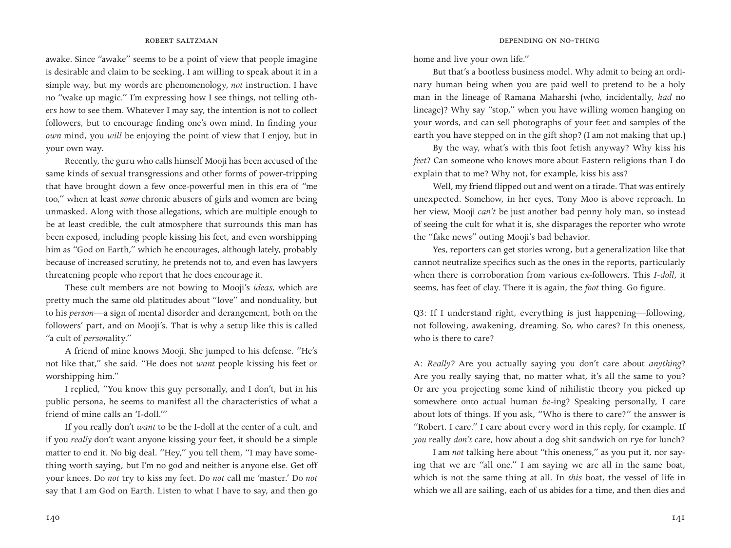awake. Since "awake" seems to be a point of view that people imagine is desirable and claim to be seeking, I am willing to speak about it in a simple way, but my words are phenomenology, *not* instruction. I have no "wake up magic." I'm expressing how I see things, not telling others how to see them. Whatever I may say, the intention is not to collect followers, but to encourage finding one's own mind. In finding your *own* mind, you *will* be enjoying the point of view that I enjoy, but in your own way.

Recently, the guru who calls himself Mooji has been accused of the same kinds of sexual transgressions and other forms of power-tripping that have brought down a few once-powerful men in this era of "me too," when at least *some* chronic abusers of girls and women are being unmasked. Along with those allegations, which are multiple enough to be at least credible, the cult atmosphere that surrounds this man has been exposed, including people kissing his feet, and even worshipping him as "God on Earth," which he encourages, although lately, probably because of increased scrutiny, he pretends not to, and even has lawyers threatening people who report that he does encourage it.

These cult members are not bowing to Mooji's *ideas*, which are pretty much the same old platitudes about "love" and nonduality, but to his *person*—a sign of mental disorder and derangement, both on the followers' part, and on Mooji's. That is why a setup like this is called "a cult of *person*ality."

A friend of mine knows Mooji. She jumped to his defense. "He's not like that," she said. "He does not *want* people kissing his feet or worshipping him."

I replied, "You know this guy personally, and I don't, but in his public persona, he seems to manifest all the characteristics of what a friend of mine calls an 'I-doll.'"

If you really don't *want* to be the I-doll at the center of a cult, and if you *really* don't want anyone kissing your feet, it should be a simple matter to end it. No big deal. "Hey," you tell them, "I may have something worth saying, but I'm no god and neither is anyone else. Get off your knees. Do *not* try to kiss my feet. Do *not* call me 'master.' Do *not* say that I am God on Earth. Listen to what I have to say, and then go

home and live your own life."

But that's a bootless business model. Why admit to being an ordinary human being when you are paid well to pretend to be a holy man in the lineage of Ramana Maharshi (who, incidentally, *had* no lineage)? Why say "stop," when you have willing women hanging on your words, and can sell photographs of your feet and samples of the earth you have stepped on in the gift shop? (I am not making that up.)

By the way, what's with this foot fetish anyway? Why kiss his *feet*? Can someone who knows more about Eastern religions than I do explain that to me? Why not, for example, kiss his ass?

Well, my friend flipped out and went on a tirade. That was entirely unexpected. Somehow, in her eyes, Tony Moo is above reproach. In her view, Mooji *can't* be just another bad penny holy man, so instead of seeing the cult for what it is, she disparages the reporter who wrote the "fake news" outing Mooji's bad behavior.

Yes, reporters can get stories wrong, but a generalization like that cannot neutralize specifics such as the ones in the reports, particularly when there is corroboration from various ex-followers. This *I-doll*, it seems, has feet of clay. There it is again, the *foot* thing. Go figure.

Q3: If I understand right, everything is just happening—following, not following, awakening, dreaming. So, who cares? In this oneness, who is there to care?

A: *Really?* Are you actually saying you don't care about *anything*? Are you really saying that, no matter what, it's all the same to you? Or are you projecting some kind of nihilistic theory you picked up somewhere onto actual human *be*-ing? Speaking personally, I care about lots of things. If you ask, "Who is there to care?" the answer is "Robert. I care." I care about every word in this reply, for example. If *you* really *don't* care, how about a dog shit sandwich on rye for lunch?

I am *not* talking here about "this oneness," as you put it, nor saying that we are "all one." I am saying we are all in the same boat, which is not the same thing at all. In *this* boat, the vessel of life in which we all are sailing, each of us abides for a time, and then dies and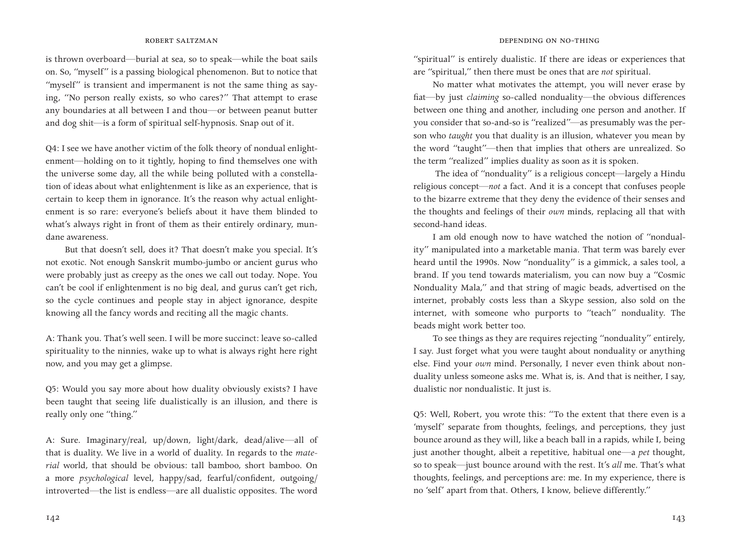is thrown overboard—burial at sea, so to speak—while the boat sails on. So, "myself" is a passing biological phenomenon. But to notice that "myself" is transient and impermanent is not the same thing as saying, "No person really exists, so who cares?" That attempt to erase any boundaries at all between I and thou—or between peanut butter and dog shit—is a form of spiritual self-hypnosis. Snap out of it.

Q4: I see we have another victim of the folk theory of nondual enlightenment—holding on to it tightly, hoping to find themselves one with the universe some day, all the while being polluted with a constellation of ideas about what enlightenment is like as an experience, that is certain to keep them in ignorance. It's the reason why actual enlightenment is so rare: everyone's beliefs about it have them blinded to what's always right in front of them as their entirely ordinary, mundane awareness.

But that doesn't sell, does it? That doesn't make you special. It's not exotic. Not enough Sanskrit mumbo-jumbo or ancient gurus who were probably just as creepy as the ones we call out today. Nope. You can't be cool if enlightenment is no big deal, and gurus can't get rich, so the cycle continues and people stay in abject ignorance, despite knowing all the fancy words and reciting all the magic chants.

A: Thank you. That's well seen. I will be more succinct: leave so-called spirituality to the ninnies, wake up to what is always right here right now, and you may get a glimpse.

Q5: Would you say more about how duality obviously exists? I have been taught that seeing life dualistically is an illusion, and there is really only one "thing."

A: Sure. Imaginary/real, up/down, light/dark, dead/alive—all of that is duality. We live in a world of duality. In regards to the *material* world, that should be obvious: tall bamboo, short bamboo. On a more *psychological* level, happy/sad, fearful/confident, outgoing/ introverted—the list is endless—are all dualistic opposites. The word

"spiritual" is entirely dualistic. If there are ideas or experiences that are "spiritual," then there must be ones that are *not* spiritual.

No matter what motivates the attempt, you will never erase by fiat—by just *claiming* so-called nonduality—the obvious differences between one thing and another, including one person and another. If you consider that so-and-so is "realized"—as presumably was the person who *taught* you that duality is an illusion, whatever you mean by the word "taught"—then that implies that others are unrealized. So the term "realized" implies duality as soon as it is spoken.

 The idea of "nonduality" is a religious concept—largely a Hindu religious concept—*not* a fact. And it is a concept that confuses people to the bizarre extreme that they deny the evidence of their senses and the thoughts and feelings of their *own* minds, replacing all that with second-hand ideas.

I am old enough now to have watched the notion of "nonduality" manipulated into a marketable mania. That term was barely ever heard until the 1990s. Now "nonduality" is a gimmick, a sales tool, a brand. If you tend towards materialism, you can now buy a "Cosmic Nonduality Mala," and that string of magic beads, advertised on the internet, probably costs less than a Skype session, also sold on the internet, with someone who purports to "teach" nonduality. The beads might work better too.

To see things as they are requires rejecting "nonduality" entirely, I say. Just forget what you were taught about nonduality or anything else. Find your *own* mind. Personally, I never even think about nonduality unless someone asks me. What is, is. And that is neither, I say, dualistic nor nondualistic. It just is.

Q5: Well, Robert, you wrote this: "To the extent that there even is a 'myself' separate from thoughts, feelings, and perceptions, they just bounce around as they will, like a beach ball in a rapids, while I, being just another thought, albeit a repetitive, habitual one—a *pet* thought, so to speak—just bounce around with the rest. It's *all* me. That's what thoughts, feelings, and perceptions are: me. In my experience, there is no 'self' apart from that. Others, I know, believe differently."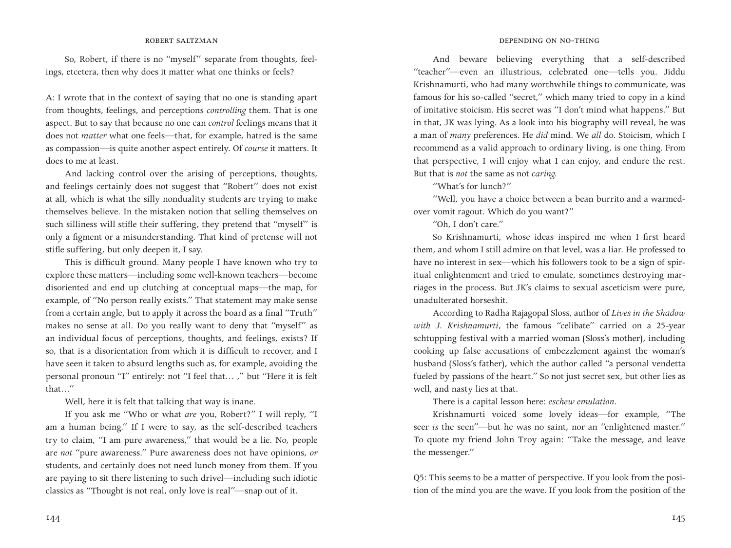So, Robert, if there is no "myself" separate from thoughts, feelings, etcetera, then why does it matter what one thinks or feels?

A: I wrote that in the context of saying that no one is standing apart from thoughts, feelings, and perceptions *controlling* them. That is one aspect. But to say that because no one can *control* feelings means that it does not *matter* what one feels—that, for example, hatred is the same as compassion—is quite another aspect entirely. Of *course* it matters. It does to me at least.

And lacking control over the arising of perceptions, thoughts, and feelings certainly does not suggest that "Robert" does not exist at all, which is what the silly nonduality students are trying to make themselves believe. In the mistaken notion that selling themselves on such silliness will stifle their suffering, they pretend that "myself" is only a figment or a misunderstanding. That kind of pretense will not stifle suffering, but only deepen it, I say.

This is difficult ground. Many people I have known who try to explore these matters—including some well-known teachers—become disoriented and end up clutching at conceptual maps—the map, for example, of "No person really exists." That statement may make sense from a certain angle, but to apply it across the board as a final "Truth" makes no sense at all. Do you really want to deny that "myself" as an individual focus of perceptions, thoughts, and feelings, exists? If so, that is a disorientation from which it is difficult to recover, and I have seen it taken to absurd lengths such as, for example, avoiding the personal pronoun "I" entirely: not "I feel that… ," but "Here it is felt that…"

Well, here it is felt that talking that way is inane.

If you ask me "Who or what *are* you, Robert?" I will reply, "I am a human being." If I were to say, as the self-described teachers try to claim, "I am pure awareness," that would be a lie. No, people are *not* "pure awareness." Pure awareness does not have opinions, *or* students, and certainly does not need lunch money from them. If you are paying to sit there listening to such drivel—including such idiotic classics as "Thought is not real, only love is real"—snap out of it.

And beware believing everything that a self-described "teacher"—even an illustrious, celebrated one—tells you. Jiddu Krishnamurti, who had many worthwhile things to communicate, was famous for his so-called "secret," which many tried to copy in a kind of imitative stoicism. His secret was "I don't mind what happens." But in that, JK was lying. As a look into his biography will reveal, he was a man of *many* preferences. He *did* mind. We *all* do. Stoicism, which I recommend as a valid approach to ordinary living, is one thing. From that perspective, I will enjoy what I can enjoy, and endure the rest. But that is *not* the same as not *caring*.

"What's for lunch?"

"Well, you have a choice between a bean burrito and a warmedover vomit ragout. Which do you want?"

"Oh, I don't care."

So Krishnamurti, whose ideas inspired me when I first heard them, and whom I still admire on that level, was a liar. He professed to have no interest in sex—which his followers took to be a sign of spiritual enlightenment and tried to emulate, sometimes destroying marriages in the process. But JK's claims to sexual asceticism were pure, unadulterated horseshit.

According to Radha Rajagopal Sloss, author of *Lives in the Shadow with J. Krishnamurti*, the famous "celibate" carried on a 25-year schtupping festival with a married woman (Sloss's mother), including cooking up false accusations of embezzlement against the woman's husband (Sloss's father), which the author called "a personal vendetta fueled by passions of the heart." So not just secret sex, but other lies as well, and nasty lies at that.

There is a capital lesson here: *eschew emulation.*

Krishnamurti voiced some lovely ideas—for example, "The seer *is* the seen"-but he was no saint, nor an "enlightened master." To quote my friend John Troy again: "Take the message, and leave the messenger."

Q5: This seems to be a matter of perspective. If you look from the position of the mind you are the wave. If you look from the position of the